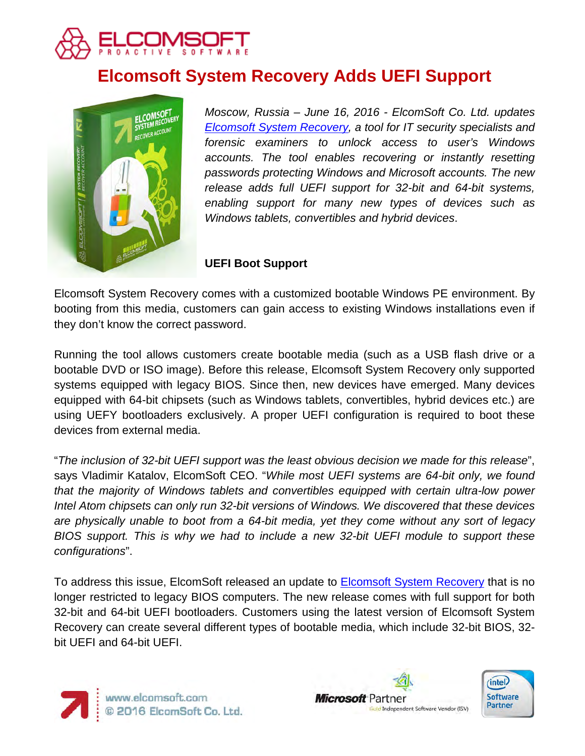

# **Elcomsoft System Recovery Adds UEFI Support**



*Moscow, Russia – June 16, 2016 - ElcomSoft Co. Ltd. updates [Elcomsoft System Recovery,](https://www.elcomsoft.com/esr.html) a tool for IT security specialists and forensic examiners to unlock access to user's Windows accounts. The tool enables recovering or instantly resetting passwords protecting Windows and Microsoft accounts. The new release adds full UEFI support for 32-bit and 64-bit systems, enabling support for many new types of devices such as Windows tablets, convertibles and hybrid devices*.

## **UEFI Boot Support**

Elcomsoft System Recovery comes with a customized bootable Windows PE environment. By booting from this media, customers can gain access to existing Windows installations even if they don't know the correct password.

Running the tool allows customers create bootable media (such as a USB flash drive or a bootable DVD or ISO image). Before this release, Elcomsoft System Recovery only supported systems equipped with legacy BIOS. Since then, new devices have emerged. Many devices equipped with 64-bit chipsets (such as Windows tablets, convertibles, hybrid devices etc.) are using UEFY bootloaders exclusively. A proper UEFI configuration is required to boot these devices from external media.

"*The inclusion of 32-bit UEFI support was the least obvious decision we made for this release*", says Vladimir Katalov, ElcomSoft CEO. "*While most UEFI systems are 64-bit only, we found that the majority of Windows tablets and convertibles equipped with certain ultra-low power Intel Atom chipsets can only run 32-bit versions of Windows. We discovered that these devices are physically unable to boot from a 64-bit media, yet they come without any sort of legacy BIOS support. This is why we had to include a new 32-bit UEFI module to support these configurations*".

To address this issue, ElcomSoft released an update to **Elcomsoft System Recovery** that is no longer restricted to legacy BIOS computers. The new release comes with full support for both 32-bit and 64-bit UEFI bootloaders. Customers using the latest version of Elcomsoft System Recovery can create several different types of bootable media, which include 32-bit BIOS, 32 bit UEFI and 64-bit UEFI.